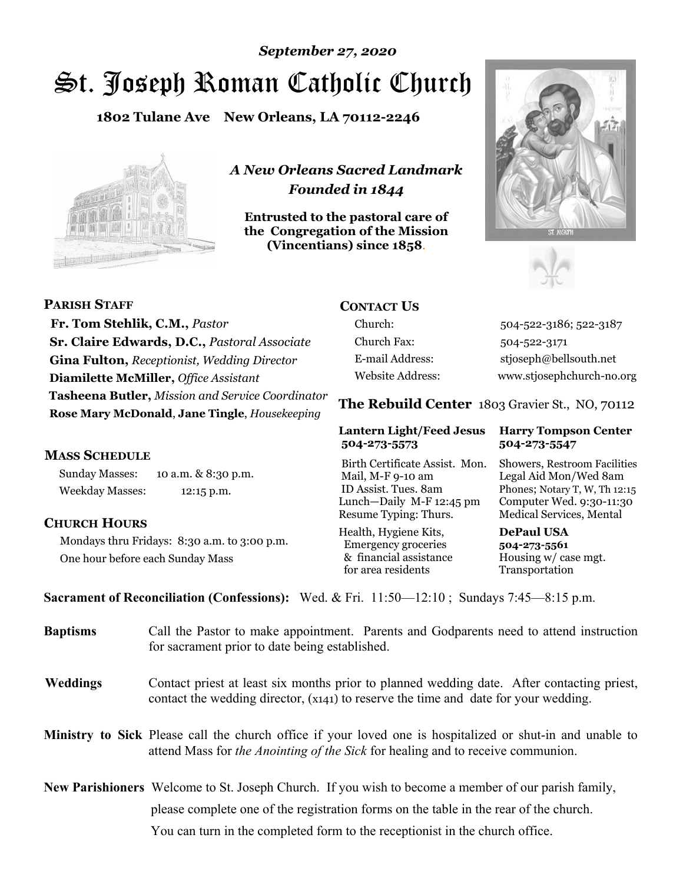# *September 27, 2020*

# St. Joseph Roman Catholic Church

**1802 Tulane Ave New Orleans, LA 70112-2246**



*A New Orleans Sacred Landmark Founded in 1844* 

**Entrusted to the pastoral care of the Congregation of the Mission (Vincentians) since 1858**.





**PARISH STAFF Fr. Tom Stehlik, C.M.,** *Pastor* **Sr. Claire Edwards, D.C.,** *Pastoral Associate* **Gina Fulton,** *Receptionist, Wedding Director* **Diamilette McMiller,** *Office Assistant* **Tasheena Butler,** *Mission and Service Coordinator* **Rose Mary McDonald**, **Jane Tingle**, *Housekeeping* 

#### **MASS SCHEDULE**

Sunday Masses: 10 a.m. & 8:30 p.m. Weekday Masses: 12:15 p.m.

### **CHURCH HOURS**

Mondays thru Fridays: 8:30 a.m. to 3:00 p.m. One hour before each Sunday Mass

# **CONTACT US**

Church: 504-522-3186; 522-3187 Church Fax: 504-522-3171 E-mail Address: stjoseph@bellsouth.net Website Address: www.stjosephchurch-no.org

**The Rebuild Center** 1803 Gravier St., NO, 70112

#### **Lantern Light/Feed Jesus Harry Tompson Center 504-273-5573 504-273-5547**

Birth Certificate Assist. Mon. Showers, Restroom Facilities Mail, M-F 9-10 am Legal Aid Mon/Wed 8am ID Assist. Tues. 8am Phones; Notary T, W, Th 12:15 Lunch—Daily M-F 12:45 pm Computer Wed. 9:30-11:30 Resume Typing: Thurs. Medical Services, Mental

Health, Hygiene Kits, **DePaul USA**  Emergency groceries **504-273-5561** & financial assistance Housing w/ case mgt.<br>for area residents Transportation for area residents

**Sacrament of Reconciliation (Confessions):** Wed. & Fri. 11:50—12:10 ; Sundays 7:45—8:15 p.m.

| <b>Baptisms</b> | Call the Pastor to make appointment. Parents and Godparents need to attend instruction<br>for sacrament prior to date being established.                                                            |  |
|-----------------|-----------------------------------------------------------------------------------------------------------------------------------------------------------------------------------------------------|--|
| <b>Weddings</b> | Contact priest at least six months prior to planned wedding date. After contacting priest,<br>contact the wedding director, (x141) to reserve the time and date for your wedding.                   |  |
|                 | <b>Ministry to Sick</b> Please call the church office if your loved one is hospitalized or shut-in and unable to<br>attend Mass for the Anointing of the Sick for healing and to receive communion. |  |
|                 | <b>New Parishioners</b> Welcome to St. Joseph Church. If you wish to become a member of our parish family,                                                                                          |  |
|                 | please complete one of the registration forms on the table in the rear of the church.                                                                                                               |  |
|                 | You can turn in the completed form to the reception is the church office.                                                                                                                           |  |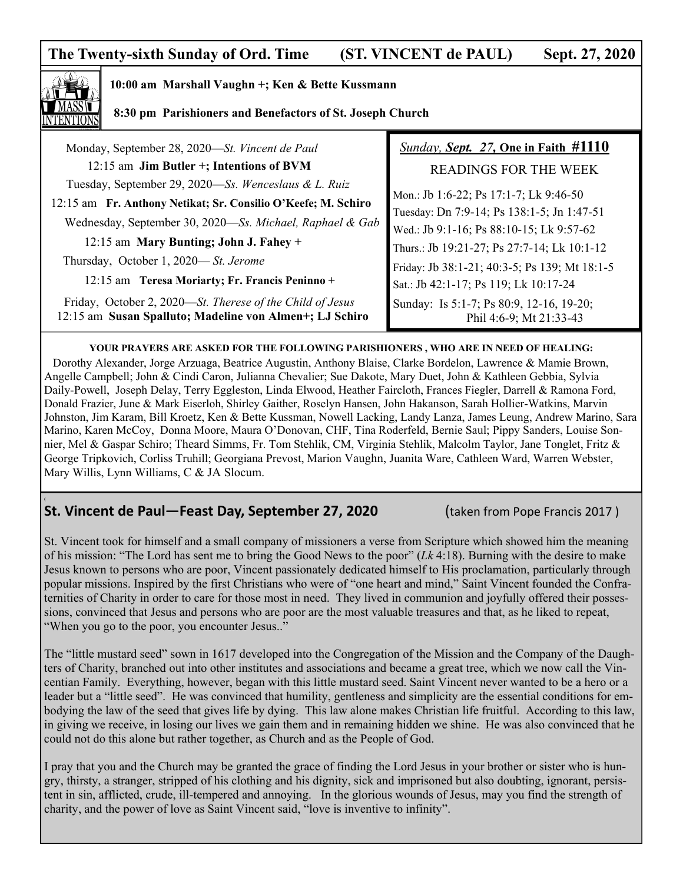# **The Twenty-sixth Sunday of Ord. Time (ST. VINCENT de PAUL) Sept. 27, 2020**



**(** 

#### **10:00 am Marshall Vaughn +; Ken & Bette Kussmann**

#### **8:30 pm Parishioners and Benefactors of St. Joseph Church**

| Monday, September 28, 2020-St. Vincent de Paul                                                                       | <b>Sunday, Sept. 27, One in Faith #1110</b>                         |
|----------------------------------------------------------------------------------------------------------------------|---------------------------------------------------------------------|
| 12:15 am Jim Butler +; Intentions of BVM                                                                             | <b>READINGS FOR THE WEEK</b>                                        |
| Tuesday, September 29, 2020—Ss. Wenceslaus & L. Ruiz                                                                 | Mon.: Jb 1:6-22; Ps 17:1-7; Lk 9:46-50                              |
| 12:15 am Fr. Anthony Netikat; Sr. Consilio O'Keefe; M. Schiro                                                        | Tuesday: Dn 7:9-14; Ps 138:1-5; Jn 1:47-51                          |
| Wednesday, September 30, 2020—Ss. Michael, Raphael & Gab                                                             | Wed.: Jb 9:1-16; Ps 88:10-15; Lk 9:57-62                            |
| 12:15 am Mary Bunting; John J. Fahey +                                                                               | Thurs.: Jb 19:21-27; Ps 27:7-14; Lk 10:1-12                         |
| Thursday, October 1, 2020— St. Jerome                                                                                | Friday: Jb 38:1-21; 40:3-5; Ps 139; Mt 18:1-5                       |
| 12:15 am Teresa Moriarty; Fr. Francis Peninno +                                                                      | Sat.: Jb 42:1-17; Ps 119; Lk 10:17-24                               |
| Friday, October 2, 2020—St. Therese of the Child of Jesus<br>12:15 am Susan Spalluto; Madeline von Almen+; LJ Schiro | Sunday: Is 5:1-7; Ps 80:9, 12-16, 19-20;<br>Phil 4:6-9; Mt 21:33-43 |

#### **YOUR PRAYERS ARE ASKED FOR THE FOLLOWING PARISHIONERS , WHO ARE IN NEED OF HEALING:**

 Dorothy Alexander, Jorge Arzuaga, Beatrice Augustin, Anthony Blaise, Clarke Bordelon, Lawrence & Mamie Brown, Angelle Campbell; John & Cindi Caron, Julianna Chevalier; Sue Dakote, Mary Duet, John & Kathleen Gebbia, Sylvia Daily-Powell, Joseph Delay, Terry Eggleston, Linda Elwood, Heather Faircloth, Frances Fiegler, Darrell & Ramona Ford, Donald Frazier, June & Mark Eiserloh, Shirley Gaither, Roselyn Hansen, John Hakanson, Sarah Hollier-Watkins, Marvin Johnston, Jim Karam, Bill Kroetz, Ken & Bette Kussman, Nowell Lacking, Landy Lanza, James Leung, Andrew Marino, Sara Marino, Karen McCoy, Donna Moore, Maura O'Donovan, CHF, Tina Roderfeld, Bernie Saul; Pippy Sanders, Louise Sonnier, Mel & Gaspar Schiro; Theard Simms, Fr. Tom Stehlik, CM, Virginia Stehlik, Malcolm Taylor, Jane Tonglet, Fritz & George Tripkovich, Corliss Truhill; Georgiana Prevost, Marion Vaughn, Juanita Ware, Cathleen Ward, Warren Webster, Mary Willis, Lynn Williams, C & JA Slocum.

# **St. Vincent de Paul—Feast Day, September 27, 2020** (taken from Pope Francis 2017 )

St. Vincent took for himself and a small company of missioners a verse from Scripture which showed him the meaning of his mission: "The Lord has sent me to bring the Good News to the poor" (*Lk* 4:18). Burning with the desire to make Jesus known to persons who are poor, Vincent passionately dedicated himself to His proclamation, particularly through popular missions. Inspired by the first Christians who were of "one heart and mind," Saint Vincent founded the Confraternities of Charity in order to care for those most in need. They lived in communion and joyfully offered their possessions, convinced that Jesus and persons who are poor are the most valuable treasures and that, as he liked to repeat, "When you go to the poor, you encounter Jesus.."

The "little mustard seed" sown in 1617 developed into the Congregation of the Mission and the Company of the Daughters of Charity, branched out into other institutes and associations and became a great tree, which we now call the Vincentian Family. Everything, however, began with this little mustard seed. Saint Vincent never wanted to be a hero or a leader but a "little seed". He was convinced that humility, gentleness and simplicity are the essential conditions for embodying the law of the seed that gives life by dying. This law alone makes Christian life fruitful. According to this law, in giving we receive, in losing our lives we gain them and in remaining hidden we shine. He was also convinced that he could not do this alone but rather together, as Church and as the People of God.

I pray that you and the Church may be granted the grace of finding the Lord Jesus in your brother or sister who is hungry, thirsty, a stranger, stripped of his clothing and his dignity, sick and imprisoned but also doubting, ignorant, persistent in sin, afflicted, crude, ill-tempered and annoying. In the glorious wounds of Jesus, may you find the strength of charity, and the power of love as Saint Vincent said, "love is inventive to infinity".